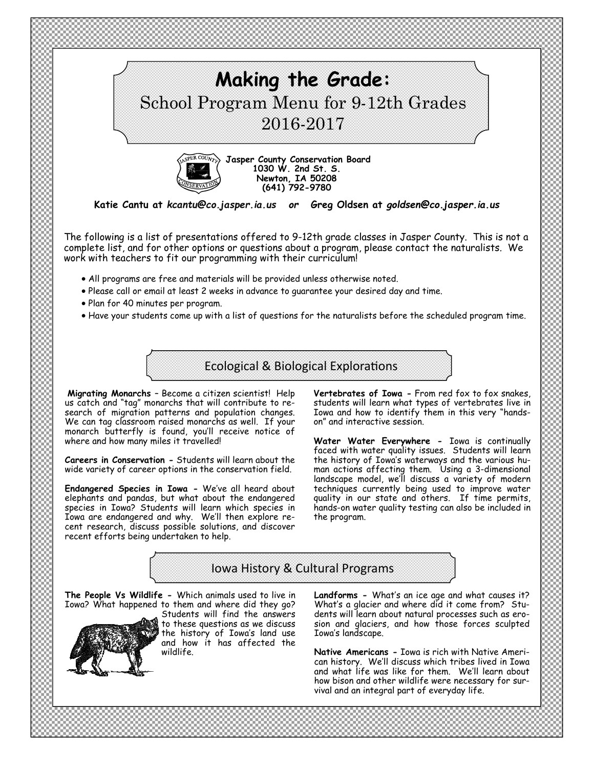



**Jasper County Conservation Board 1030 W. 2nd St. S. Newton, IA 50208 (641) 792-9780** 

**Katie Cantu at** *kcantu@co.jasper.ia.us or* **Greg Oldsen at** *goldsen@co.jasper.ia.us* 

The following is a list of presentations offered to 9-12th grade classes in Jasper County. This is not a complete list, and for other options or questions about a program, please contact the naturalists*.* We work with teachers to fit our programming with their curriculum!

- All programs are free and materials will be provided unless otherwise noted.
- Please call or email at least 2 weeks in advance to guarantee your desired day and time.
- Plan for 40 minutes per program.
- Have your students come up with a list of questions for the naturalists before the scheduled program time.

Ecological & Biological Explorations

**Migrating Monarchs** – Become a citizen scientist! Help us catch and "tag" monarchs that will contribute to research of migration patterns and population changes. We can tag classroom raised monarchs as well. If your monarch butterfly is found, you'll receive notice of where and how many miles it travelled!

**Careers in Conservation -** Students will learn about the wide variety of career options in the conservation field.

**Endangered Species in Iowa -** We've all heard about elephants and pandas, but what about the endangered species in Iowa? Students will learn which species in Iowa are endangered and why. We'll then explore recent research, discuss possible solutions, and discover recent efforts being undertaken to help.

**Vertebrates of Iowa -** From red fox to fox snakes, students will learn what types of vertebrates live in Iowa and how to identify them in this very "handson" and interactive session.

**Water Water Everywhere -** Iowa is continually faced with water quality issues. Students will learn the history of Iowa's waterways and the various human actions affecting them. Using a 3-dimensional landscape model, we'll discuss a variety of modern techniques currently being used to improve water quality in our state and others. If time permits, hands-on water quality testing can also be included in the program.

## Iowa History & Cultural Programs

**The People Vs Wildlife -** Which animals used to live in Iowa? What happened to them and where did they go?



Students will find the answers to these questions as we discuss the history of Iowa's land use and how it has affected the wildlife.

**Landforms -** What's an ice age and what causes it? What's a glacier and where did it come from? Students will learn about natural processes such as erosion and glaciers, and how those forces sculpted Iowa's landscape.

**Native Americans -** Iowa is rich with Native American history. We'll discuss which tribes lived in Iowa and what life was like for them. We'll learn about how bison and other wildlife were necessary for survival and an integral part of everyday life.